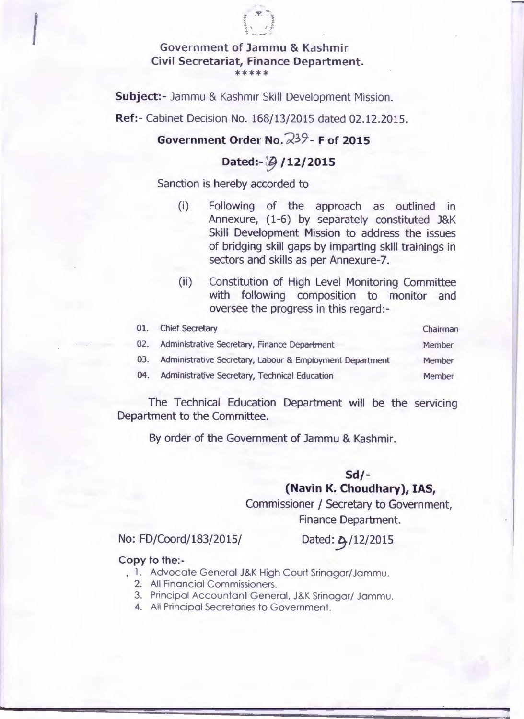

Subject:- Jammu & Kashmir Skill Development Mission.

Ref:- Cabinet Decision No. 168/13/2015 dated 02.12.2015.

#### Government Order No.  $23$ <sup>9</sup>- F of 2015

#### Dated:- [2] / 12/2015

Sanction is hereby accorded to

- (i) Following of the approach as outlined in Annexure, (1-6) by separately constituted J&K Skill Development Mission to address the issues of bridging skill gaps by imparting skill trainings in sectors and skills as per Annexure-7.
- (ii) Constitution of High Level Monitoring Committee with following composition to monitor and oversee the progress in this regard:-

| 01. | <b>Chief Secretary</b>                                   | Chairman |
|-----|----------------------------------------------------------|----------|
| 02. | Administrative Secretary, Finance Department             | Member   |
| 03. | Administrative Secretary, Labour & Employment Department | Member   |
| 04. | Administrative Secretary, Technical Education            | Member   |
|     |                                                          |          |

The Technical Education Department will be the servicing Department to the Committee.

By order of the Government of Jammu & Kashmir.

#### Sd/- (Navin K. Choudhary), IAS,

Commissioner / Secretary to Government, Finance Department.

No: FD/Coord/183/2015/

Dated: 2 / 12/2015

#### Copy to the:-

- 1. Advocate General J&K High Court Srinagar/Jammu.
	- 2. All Financial Commissioners.
	- 3. Principal Accountant General. J&K Srinagar/ Jammu.
	- 4. All Principal Secretaries to Government.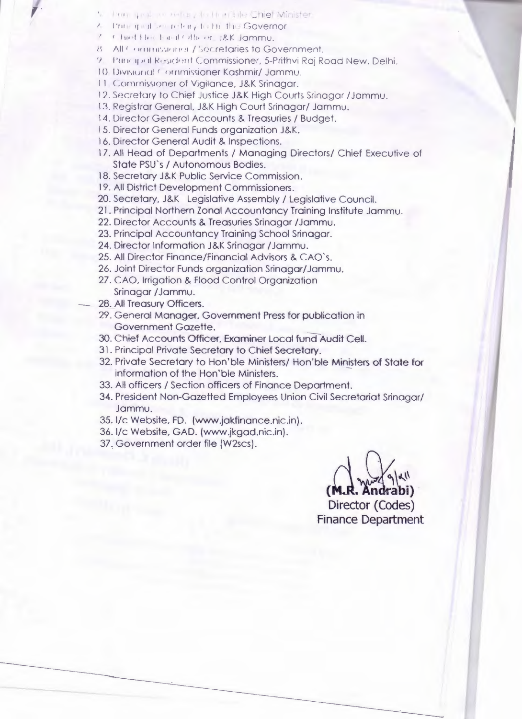- The grading redding that hard the Chief Minister
- Philadelphia Hotel Light the Governor
- Chieffles Faul Others J&K Jammu.
- 8 All Commissioner / Secretaries to Government.
- 9. Principal Resident Commissioner, 5-Prithvi Raj Road New, Delhi,
- 10. Divisional Commissioner Kashmir/Jammu.
- 11. Commissioner of Vigilance, J&K Srinagar.
- 12. Secretary to Chief Justice J&K High Courts Sringgar /Jammu.
- 13. Registrar General, J&K High Court Srinagar/ Jammu,
- 14. Director General Accounts & Treasuries / Budget.
- 15. Director General Funds organization J&K.
- 16. Director General Audit & Inspections.
- 17. All Head of Departments / Managing Directors/ Chief Executive of State PSU's / Autonomous Bodies.
- 18. Secretary J&K Public Service Commission.
- 19. All District Development Commissioners.
- 20. Secretary, J&K Legislative Assembly / Legislative Council.
- 21. Principal Northern Zonal Accountancy Training Institute Jammu.
- 22. Director Accounts & Treasuries Srinagar / Jammu.
- 23. Principal Accountancy Training School Srinagar.
- 24. Director Information J&K Srinagar / Jammu.
- 25. All Director Finance/Financial Advisors & CAO's.
- 26. Joint Director Funds organization Srinagar/Jammu.
- 27. CAO, Irrigation & Flood Control Organization Srinagar / Jammu.
- 28. All Treasury Officers.
- 29. General Manager, Government Press for publication in Government Gazette.
- 30. Chief Accounts Officer, Examiner Local fund Audit Cell.
- 31. Principal Private Secretary to Chief Secretary.
- 32. Private Secretary to Hon'ble Ministers/Hon'ble Ministers of State for information of the Hon'ble Ministers.
- 33. All officers / Section officers of Finance Department.
- 34. President Non-Gazetted Employees Union Civil Secretariat Srinagar/ Jammu.
- 35. I/c Website, FD. (www.jakfinance.nic.in).
- 36. I/c Website, GAD. (www.jkgad.nic.in).
- 37. Government order file (W2scs).

Director (Codes) **Finance Department**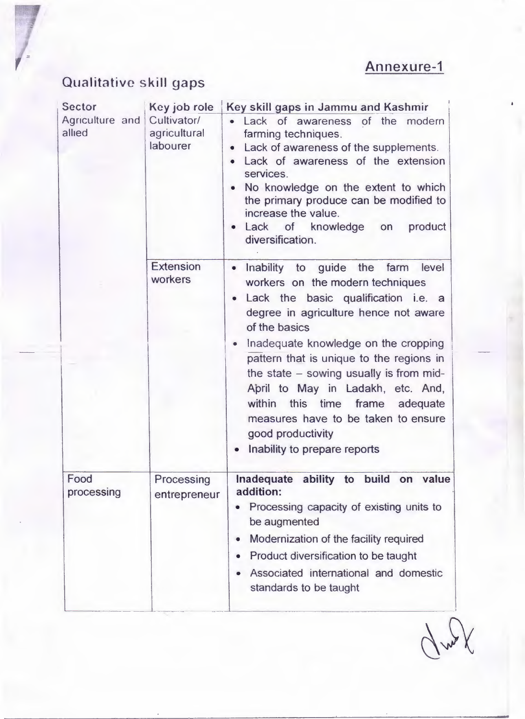### Annexure-1

## Qualitative skill gaps

| <b>Sector</b>             | Key job role                            | Key skill gaps in Jammu and Kashmir                                                                                                                                                                                                                                                                                                                                                                                                                                                         |
|---------------------------|-----------------------------------------|---------------------------------------------------------------------------------------------------------------------------------------------------------------------------------------------------------------------------------------------------------------------------------------------------------------------------------------------------------------------------------------------------------------------------------------------------------------------------------------------|
| Agriculture and<br>allied | Cultivator/<br>agricultural<br>labourer | Lack of awareness of the modern<br>farming techniques.<br>Lack of awareness of the supplements.<br>$\bullet$<br>Lack of awareness of the extension<br>services.<br>No knowledge on the extent to which<br>the primary produce can be modified to<br>increase the value.<br>Lack of knowledge on<br>product<br>diversification.                                                                                                                                                              |
|                           | <b>Extension</b><br>workers             | Inability to guide the farm level<br>$\bullet$<br>workers on the modern techniques<br>Lack the basic qualification i.e. a<br>degree in agriculture hence not aware<br>of the basics<br>Inadequate knowledge on the cropping<br>pattern that is unique to the regions in<br>the state $-$ sowing usually is from mid-<br>April to May in Ladakh, etc. And,<br>within this time frame<br>adequate<br>measures have to be taken to ensure<br>good productivity<br>Inability to prepare reports |
| Food<br>processing        | Processing<br>entrepreneur              | Inadequate ability to build<br>value<br>on<br>addition:<br>Processing capacity of existing units to<br>be augmented<br>Modernization of the facility required<br>Product diversification to be taught<br>Associated international and domestic<br>standards to be taught                                                                                                                                                                                                                    |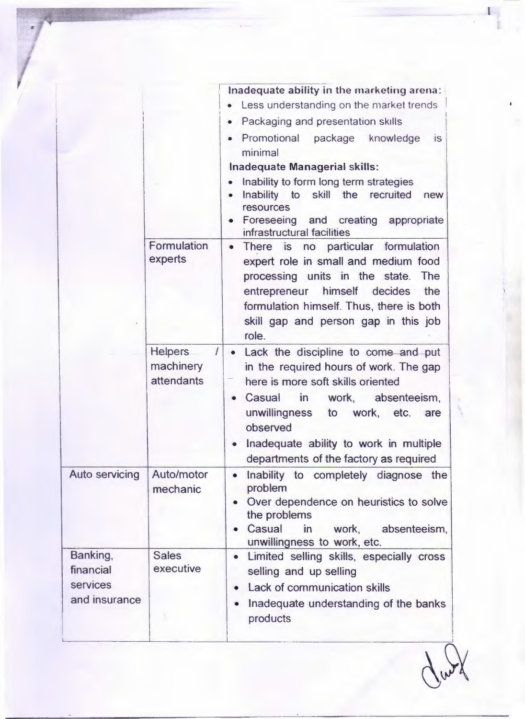|                                                    |                                                | Inadequate ability in the marketing arena:<br>• Less understanding on the market trends<br>• Packaging and presentation skills<br>Promotional package knowledge<br><b>is</b><br>minimal<br><b>Inadequate Managerial skills:</b><br>Inability to form long term strategies<br>Inability to skill the recruited<br>new<br>resources<br>Foreseeing and creating appropriate<br>infrastructural facilities |
|----------------------------------------------------|------------------------------------------------|--------------------------------------------------------------------------------------------------------------------------------------------------------------------------------------------------------------------------------------------------------------------------------------------------------------------------------------------------------------------------------------------------------|
|                                                    | Formulation<br>experts                         | There is no particular formulation<br>$\bullet$<br>expert role in small and medium food<br>processing units in the state.<br>The<br>himself decides<br>entrepreneur<br>the<br>formulation himself. Thus, there is both<br>skill gap and person gap in this job<br>role.                                                                                                                                |
|                                                    | <b>Helpers</b><br>I<br>machinery<br>attendants | • Lack the discipline to come and put<br>in the required hours of work. The gap<br>here is more soft skills oriented<br>Casual in<br>work, absenteeism,<br>$\bullet$<br>unwillingness to work, etc.<br>are<br>observed<br>Inadequate ability to work in multiple<br>departments of the factory as required                                                                                             |
| <b>Auto servicing</b>                              | Auto/motor<br>mechanic                         | Inability to completely diagnose the<br>$\bullet$<br>problem<br>Over dependence on heuristics to solve<br>the problems<br>Casual<br>work, absenteeism,<br>in<br>unwillingness to work, etc.                                                                                                                                                                                                            |
| Banking,<br>financial<br>services<br>and insurance | <b>Sales</b><br>executive                      | Limited selling skills, especially cross<br>$\bullet$<br>selling and up selling<br>Lack of communication skills<br>Inadequate understanding of the banks<br>products                                                                                                                                                                                                                                   |

162

l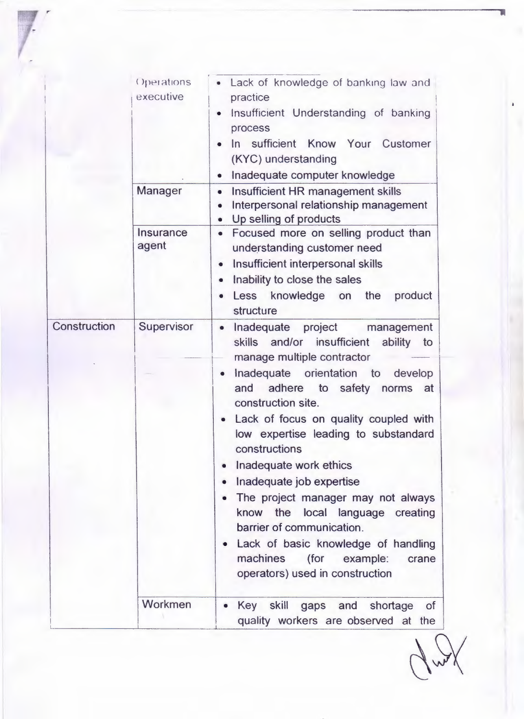|              | Operations<br>executive   | Lack of knowledge of banking law and<br>practice<br>Insufficient Understanding of banking<br>process<br>In sufficient Know Your Customer<br>(KYC) understanding<br>Inadequate computer knowledge                                                                                                                                                                                                                                                                                                     |
|--------------|---------------------------|------------------------------------------------------------------------------------------------------------------------------------------------------------------------------------------------------------------------------------------------------------------------------------------------------------------------------------------------------------------------------------------------------------------------------------------------------------------------------------------------------|
|              | Manager                   | Insufficient HR management skills<br>$\bullet$<br>Interpersonal relationship management<br>Up selling of products<br>$\bullet$                                                                                                                                                                                                                                                                                                                                                                       |
|              | <b>Insurance</b><br>agent | Focused more on selling product than<br>$\bullet$<br>understanding customer need<br>Insufficient interpersonal skills<br>$\bullet$<br>Inability to close the sales<br>۰<br>Less knowledge on the<br>product<br>structure                                                                                                                                                                                                                                                                             |
| Construction | Supervisor                | Inadequate project management<br>٠<br>skills<br>and/or insufficient<br>ability to<br>manage multiple contractor                                                                                                                                                                                                                                                                                                                                                                                      |
|              |                           | Inadequate orientation to<br>develop<br>$\bullet$<br>and adhere to safety<br>norms at<br>construction site.<br>Lack of focus on quality coupled with<br>$\bullet$<br>low expertise leading to substandard<br>constructions<br>Inadequate work ethics<br>Inadequate job expertise<br>The project manager may not always<br>know the local language creating<br>barrier of communication.<br>Lack of basic knowledge of handling<br>machines (for example:<br>crane<br>operators) used in construction |
|              | Workmen                   | Key skill gaps and shortage<br><b>of</b><br>quality workers are observed at the                                                                                                                                                                                                                                                                                                                                                                                                                      |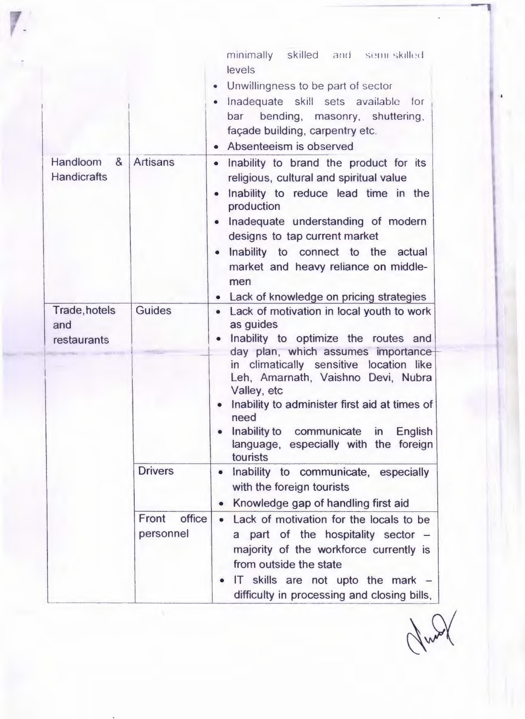|                                     |                                                | minimally skilled and semi-skilled<br>levels<br>• Unwillingness to be part of sector<br>· Inadequate skill sets available for<br>bar bending, masonry, shuttering,<br>façade building, carpentry etc.<br>• Absenteeism is observed                                                                                                                                                                             |
|-------------------------------------|------------------------------------------------|----------------------------------------------------------------------------------------------------------------------------------------------------------------------------------------------------------------------------------------------------------------------------------------------------------------------------------------------------------------------------------------------------------------|
| Handloom &<br><b>Handicrafts</b>    | <b>Artisans</b>                                | Inability to brand the product for its<br>$\bullet$<br>religious, cultural and spiritual value<br>Inability to reduce lead time in the<br>$\bullet$<br>production<br>Inadequate understanding of modern<br>$\bullet$<br>designs to tap current market<br>• Inability to connect to the actual<br>market and heavy reliance on middle-<br>men<br>• Lack of knowledge on pricing strategies                      |
| Trade, hotels<br>and<br>restaurants | <b>Guides</b>                                  | • Lack of motivation in local youth to work<br>as guides<br>Inability to optimize the routes and<br>day plan, which assumes importance<br>in climatically sensitive location like<br>Leh, Amarnath, Vaishno Devi, Nubra<br>Valley, etc<br>Inability to administer first aid at times of<br>$\bullet$<br>need<br>Inability to communicate<br>in<br>English<br>language, especially with the foreign<br>tourists |
|                                     | <b>Drivers</b><br>Front<br>office<br>personnel | Inability to communicate, especially<br>$\bullet$<br>with the foreign tourists<br>Knowledge gap of handling first aid<br>Lack of motivation for the locals to be<br>part of the hospitality sector -<br>a<br>majority of the workforce currently is<br>from outside the state                                                                                                                                  |
|                                     |                                                | IT skills are not upto the mark $-$<br>difficulty in processing and closing bills,                                                                                                                                                                                                                                                                                                                             |

Nunt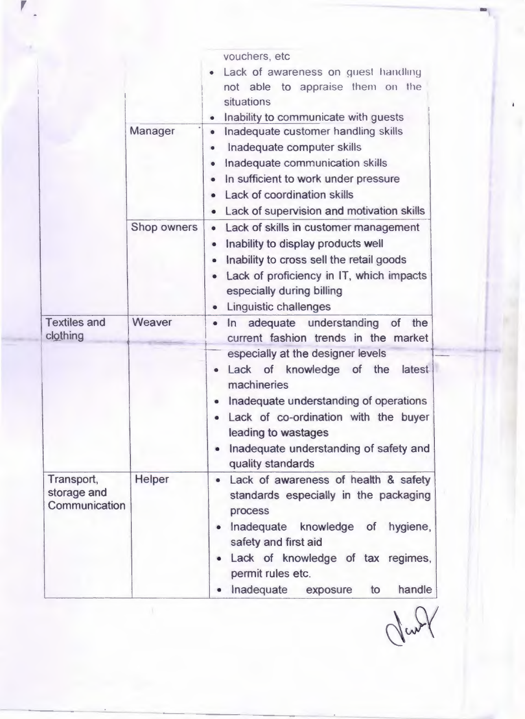|                                            | Manager       | vouchers, etc<br>Lack of awareness on guest handling<br>not able to appraise them on the<br>situations<br>Inability to communicate with guests<br>Inadequate customer handling skills<br>Inadequate computer skills<br>Inadequate communication skills<br>In sufficient to work under pressure<br>۰<br>Lack of coordination skills<br>Lack of supervision and motivation skills<br>$\bullet$ |
|--------------------------------------------|---------------|----------------------------------------------------------------------------------------------------------------------------------------------------------------------------------------------------------------------------------------------------------------------------------------------------------------------------------------------------------------------------------------------|
|                                            | Shop owners   | • Lack of skills in customer management<br>Inability to display products well<br>Inability to cross sell the retail goods<br>$\bullet$<br>Lack of proficiency in IT, which impacts<br>especially during billing<br><b>Linguistic challenges</b><br>۰                                                                                                                                         |
| <b>Textiles and</b><br>clothing            | Weaver        | In adequate understanding<br>the<br><b>of</b><br>$\bullet$<br>current fashion trends in the market<br>especially at the designer levels<br>Lack of knowledge of the<br>latest<br>machineries<br>Inadequate understanding of operations<br>۰<br>Lack of co-ordination with the buyer<br>leading to wastages<br>Inadequate understanding of safety and<br>quality standards                    |
| Transport,<br>storage and<br>Communication | <b>Helper</b> | Lack of awareness of health & safety<br>$\bullet$<br>standards especially in the packaging<br>process<br>Inadequate<br>knowledge of<br>hygiene,<br>safety and first aid<br>Lack of knowledge of tax regimes,<br>permit rules etc.<br>Inadequate<br>handle<br>exposure<br>to                                                                                                                  |

Jan2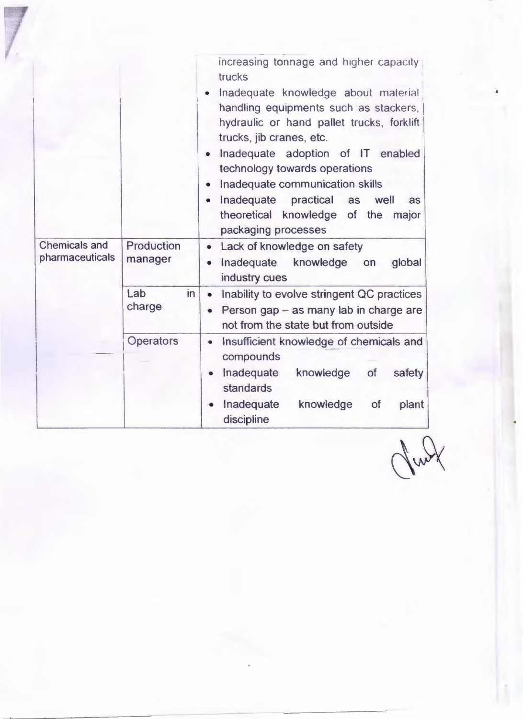| <b>Chemicals and</b> | Production          | increasing tonnage and higher capacity<br>trucks<br>Inadequate knowledge about material<br>handling equipments such as stackers,<br>hydraulic or hand pallet trucks, forklift<br>trucks, jib cranes, etc.<br>Inadequate adoption of IT enabled<br>$\bullet$<br>technology towards operations<br>Inadequate communication skills<br>$\bullet$<br>Inadequate practical as<br>well<br>as<br>$\bullet$<br>theoretical knowledge of the<br>major<br>packaging processes |
|----------------------|---------------------|--------------------------------------------------------------------------------------------------------------------------------------------------------------------------------------------------------------------------------------------------------------------------------------------------------------------------------------------------------------------------------------------------------------------------------------------------------------------|
| pharmaceuticals      | manager             | Lack of knowledge on safety<br>$\bullet$<br>Inadequate knowledge on<br>global<br>industry cues                                                                                                                                                                                                                                                                                                                                                                     |
|                      | Lab<br>in<br>charge | Inability to evolve stringent QC practices<br>$\bullet$<br>Person gap - as many lab in charge are<br>$\bullet$<br>not from the state but from outside                                                                                                                                                                                                                                                                                                              |
|                      | Operators           | Insufficient knowledge of chemicals and<br>$\bullet$<br>compounds                                                                                                                                                                                                                                                                                                                                                                                                  |
|                      |                     | Inadequate<br>knowledge<br>of<br>safety<br>standards                                                                                                                                                                                                                                                                                                                                                                                                               |
|                      |                     | Inadequate<br>knowledge<br><b>of</b><br>plant<br>discipline                                                                                                                                                                                                                                                                                                                                                                                                        |

July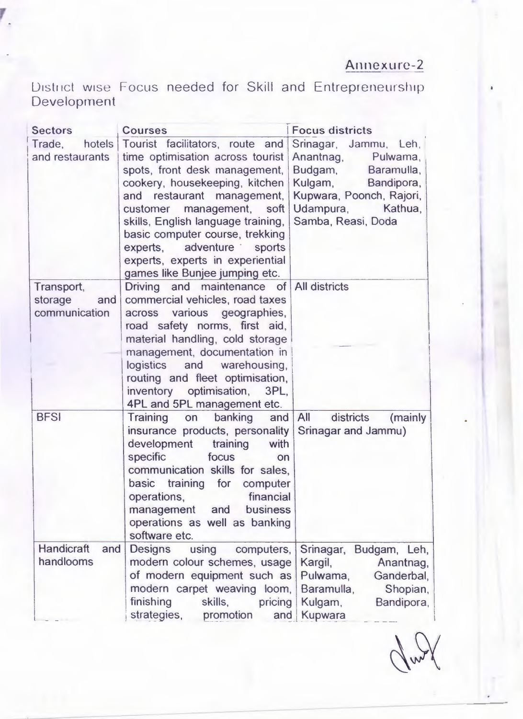### Annexure-2

District wise Focus needed for Skill and Entrepreneurship Developrnent

| <b>Sectors</b>                                | <b>Courses</b>                                                                                                                                                                                                                                                                                                                                                                          | <b>Focus districts</b>                                                                                                                                                  |
|-----------------------------------------------|-----------------------------------------------------------------------------------------------------------------------------------------------------------------------------------------------------------------------------------------------------------------------------------------------------------------------------------------------------------------------------------------|-------------------------------------------------------------------------------------------------------------------------------------------------------------------------|
| Trade.<br>and restaurants                     | hotels Tourist facilitators, route and<br>time optimisation across tourist<br>spots, front desk management,<br>cookery, housekeeping, kitchen<br>restaurant management,<br>and<br>customer management, soft<br>skills, English language training,<br>basic computer course, trekking<br>experts, adventure sports<br>experts, experts in experiential<br>games like Bunjee jumping etc. | Srinagar, Jammu, Leh,<br>Anantnag,<br>Pulwama,<br>Budgam,<br>Baramulla,<br>Kulgam, Bandipora,<br>Kupwara, Poonch, Rajori,<br>Udampura,<br>Kathua.<br>Samba, Reasi, Doda |
| Transport,<br>storage<br>and<br>communication | Driving and maintenance of All districts<br>commercial vehicles, road taxes<br>across various geographies,<br>road safety norms, first aid,<br>material handling, cold storage<br>management, documentation in<br>logistics and warehousing,<br>routing and fleet optimisation,<br>inventory optimisation, 3PL,<br>4PL and 5PL management etc.                                          |                                                                                                                                                                         |
| <b>BFSI</b>                                   | banking<br>Training<br>on<br>and<br>insurance products, personality<br>development<br>training<br>with<br>specific<br>focus<br>on<br>communication skills for sales,<br>basic training for computer<br>financial<br>operations,<br>business<br>management and<br>operations as well as banking<br>software etc.                                                                         | All<br>districts<br>(mainly<br>Srinagar and Jammu)                                                                                                                      |
| <b>Handicraft</b><br>and<br>handlooms         | <b>Designs</b><br>using computers,<br>modern colour schemes, usage<br>of modern equipment such as<br>modern carpet weaving loom,<br>finishing<br>skills,<br>pricing<br>strategies,<br>promotion<br>and                                                                                                                                                                                  | Srinagar, Budgam, Leh,<br>Kargil,<br>Anantnag,<br>Ganderbal,<br>Pulwama,<br>Baramulla,<br>Shopian,<br>Kulgam,<br>Bandipora,<br>Kupwara                                  |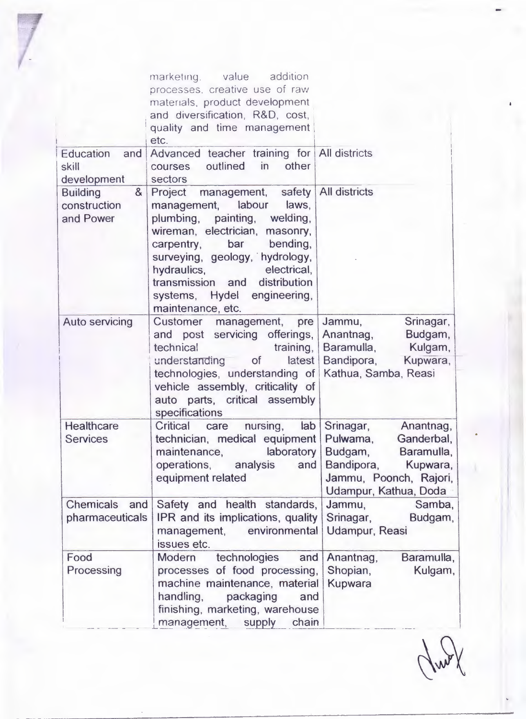|                       | marketing. value addition                           |                            |
|-----------------------|-----------------------------------------------------|----------------------------|
|                       | processes, creative use of raw                      |                            |
|                       | materials, product development                      |                            |
|                       | and diversification, R&D, cost,                     |                            |
|                       | quality and time management                         |                            |
|                       | etc.                                                |                            |
| Education and         | Advanced teacher training for All districts         |                            |
|                       | outlined in<br>other                                |                            |
| skill                 | courses                                             |                            |
| development           | sectors                                             |                            |
| &<br><b>Building</b>  | Project management, safety   All districts          |                            |
| construction          | management, labour laws,                            |                            |
| and Power             | plumbing, painting, welding,                        |                            |
|                       | wireman, electrician, masonry,                      |                            |
|                       | carpentry, bar bending,                             |                            |
|                       | surveying, geology, hydrology,                      |                            |
|                       | hydraulics, electrical,                             |                            |
|                       | transmission and distribution                       |                            |
|                       | systems, Hydel engineering,                         |                            |
|                       | maintenance, etc.                                   |                            |
| <b>Auto servicing</b> | Customer management, pre                            | Jammu,<br>Srinagar,        |
|                       | and post servicing offerings,                       | Anantnag, Budgam,          |
|                       | technical<br>training, $\vert$                      | Baramulla, Kulgam,         |
|                       | understanding of latest                             | Bandipora, Kupwara,        |
|                       | technologies, understanding of Kathua, Samba, Reasi |                            |
|                       | vehicle assembly, criticality of                    |                            |
|                       | auto parts, critical assembly                       |                            |
|                       | specifications                                      |                            |
| Healthcare            | Critical<br>nursing,<br>care                        | lab Srinagar,<br>Anantnag, |
| <b>Services</b>       | technician, medical equipment Pulwama,              | Ganderbal,                 |
|                       |                                                     | Budgam, Baramulla,         |
|                       | maintenance, laboratory                             |                            |
|                       | operations, analysis<br>and                         | Bandipora,<br>Kupwara,     |
|                       | equipment related                                   | Jammu, Poonch, Rajori,     |
|                       |                                                     | Udampur, Kathua, Doda      |
| Chemicals and         | Safety and health standards,                        | Samba,<br>Jammu,           |
| pharmaceuticals       | IPR and its implications, quality                   | Srinagar,<br>Budgam,       |
|                       | management, environmental                           | Udampur, Reasi             |
|                       | issues etc.                                         |                            |
| Food                  | technologies<br>Modern<br>and                       | Baramulla,<br>Anantnag,    |
| Processing            | processes of food processing,                       | Shopian,<br>Kulgam,        |
|                       | machine maintenance, material                       | Kupwara                    |
|                       | handling,<br>packaging<br>and                       |                            |
|                       | finishing, marketing, warehouse                     |                            |
|                       | management,<br>supply<br>chain                      |                            |
|                       |                                                     |                            |

Rund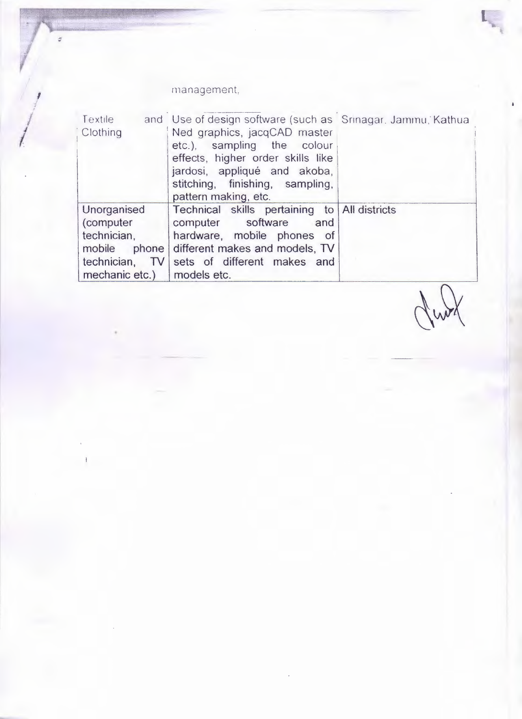#### management,

縣

| Textile<br>Clothing                                                     | and Use of design software (such as Srinagar, Jammu, Kathua<br>Ned graphics, jacqCAD master<br>etc.), sampling the colour<br>effects, higher order skills like<br>jardosi, appliqué and akoba,<br>stitching, finishing, sampling,<br>pattern making, etc. |  |
|-------------------------------------------------------------------------|-----------------------------------------------------------------------------------------------------------------------------------------------------------------------------------------------------------------------------------------------------------|--|
| Unorganised<br>(computer<br>technician,<br>mechanic etc.)   models etc. | Technical skills pertaining to All districts<br>computer software and<br>hardware, mobile phones of<br>mobile phone different makes and models, TV<br>technician, TV sets of different makes and                                                          |  |

Junt

 $\mathbf{L}$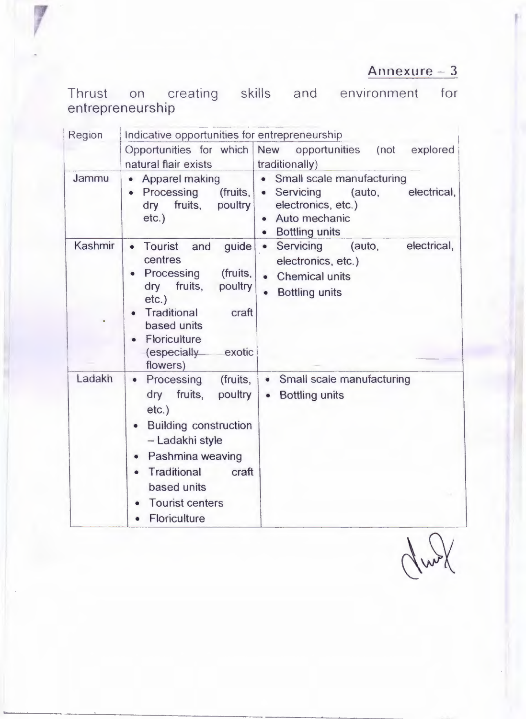### Annexure - 3

Thrust on creating skills and environment for<br>entrepreneurship

| Region  | Indicative opportunities for entrepreneurship                                                                                                                                                                                                                      |                                                                                                                                                  |  |
|---------|--------------------------------------------------------------------------------------------------------------------------------------------------------------------------------------------------------------------------------------------------------------------|--------------------------------------------------------------------------------------------------------------------------------------------------|--|
|         | Opportunities for which<br>natural flair exists                                                                                                                                                                                                                    | New opportunities<br>(not<br>explored<br>traditionally)                                                                                          |  |
| Jammu   | • Apparel making<br>(fruits,<br>Processing<br>fruits,<br>poultry<br>dry<br>$etc.$ )                                                                                                                                                                                | • Small scale manufacturing<br>• Servicing<br>(auto,<br>electrical,<br>electronics, etc.)<br>Auto mechanic<br><b>Bottling units</b><br>$\bullet$ |  |
| Kashmir | Tourist<br>and<br>guide<br>$\bullet$<br>centres<br>Processing<br>(fruits,<br>dry fruits,<br>poultry<br>$etc.$ )<br><b>Traditional</b><br>craft<br>based units<br><b>Floriculture</b><br>(especially exotic<br>flowers)                                             | electrical,<br>Servicing<br>(auto,<br>$\bullet$<br>electronics, etc.)<br><b>Chemical units</b><br>$\bullet$<br><b>Bottling units</b>             |  |
| Ladakh  | Processing<br>(fruits,<br>$\bullet$<br>dry fruits,<br>poultry<br>$etc.$ )<br><b>Building construction</b><br>- Ladakhi style<br>Pashmina weaving<br>Traditional<br>craft<br>$\bullet$<br>based units<br><b>Tourist centers</b><br>$\bullet$<br><b>Floriculture</b> | • Small scale manufacturing<br><b>Bottling units</b><br>$\bullet$                                                                                |  |

Grund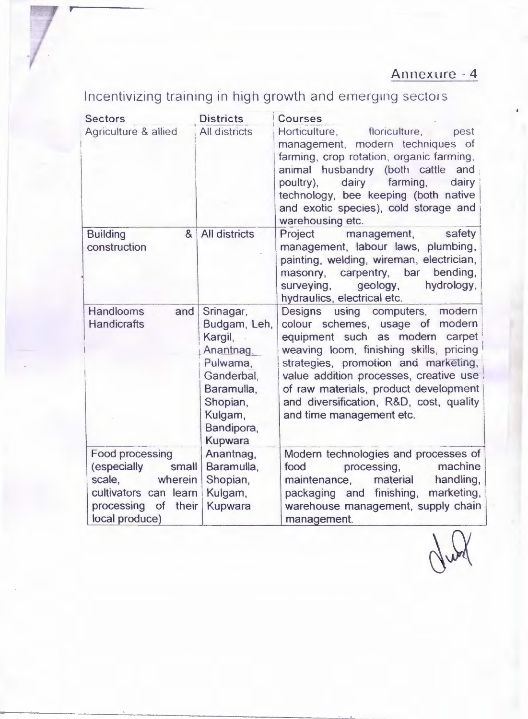Incentivizing training in high growth and emerging sectors

| <b>Sectors</b>                                                                                                                        | <b>Districts</b>                                                                                                                          | Courses                                                                                                                                                                                                                                                                                                                                                      |
|---------------------------------------------------------------------------------------------------------------------------------------|-------------------------------------------------------------------------------------------------------------------------------------------|--------------------------------------------------------------------------------------------------------------------------------------------------------------------------------------------------------------------------------------------------------------------------------------------------------------------------------------------------------------|
| Agriculture & allied                                                                                                                  | All districts                                                                                                                             | Horticulture,<br>floriculture,<br>pest<br>management, modern techniques of<br>farming, crop rotation, organic farming,<br>animal husbandry (both cattle<br>and<br>dairy<br>farming,<br>dairy<br>poultry),<br>technology, bee keeping (both native<br>and exotic species), cold storage and<br>warehousing etc.                                               |
| <b>Building</b><br>$\alpha$<br>construction                                                                                           | All districts                                                                                                                             | management,<br>Project<br>safety<br>management, labour laws, plumbing,<br>painting, welding, wireman, electrician,<br>masonry, carpentry, bar<br>bending,<br>hydrology,<br>surveying,<br>geology,<br>hydraulics, electrical etc.                                                                                                                             |
| <b>Handlooms</b><br>and<br><b>Handicrafts</b>                                                                                         | Srinagar,<br>Budgam, Leh,<br>Kargil,<br>Anantnag,<br>Pulwama,<br>Ganderbal.<br>Baramulla,<br>Shopian,<br>Kulgam,<br>Bandipora,<br>Kupwara | using computers, modern<br><b>Designs</b><br>colour schemes, usage of modern<br>equipment such as modern carpet<br>weaving loom, finishing skills, pricing<br>strategies, promotion and marketing,<br>value addition processes, creative use<br>of raw materials, product development<br>and diversification, R&D, cost, quality<br>and time management etc. |
| <b>Food processing</b><br>(especially<br>small<br>scale,<br>wherein<br>cultivators can learn<br>processing of their<br>local produce) | Anantnag,<br>Baramulla,<br>Shopian,<br>Kulgam,<br>Kupwara                                                                                 | Modern technologies and processes of<br>machine<br>food<br>processing,<br>material<br>handling,<br>maintenance,<br>marketing,<br>packaging and finishing,<br>warehouse management, supply chain<br>management.                                                                                                                                               |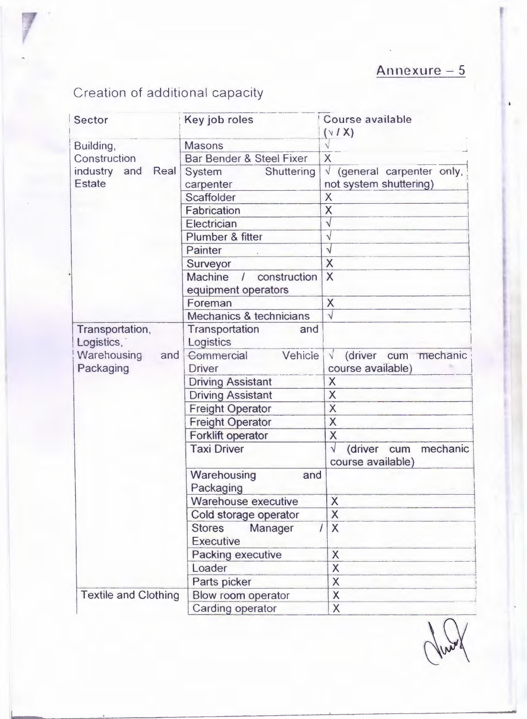# Creation of additional capacity

| Sector                        | Key job roles                                                       | <b>Course available</b><br>$(\vee$ / X)                   |
|-------------------------------|---------------------------------------------------------------------|-----------------------------------------------------------|
| Building,                     | <b>Masons</b>                                                       |                                                           |
| Construction                  | Bar Bender & Steel Fixer                                            | X                                                         |
| industry and<br>Real          | Shuttering<br>System                                                | $\sqrt{}$<br>(general carpenter only,                     |
| Estate                        | carpenter                                                           | not system shuttering)                                    |
|                               | Scaffolder                                                          | $\overline{\mathsf{X}}$                                   |
|                               | Fabrication                                                         | X                                                         |
|                               | Electrician                                                         | $\overline{\sqrt{} }$                                     |
|                               | Plumber & fitter                                                    | $\sqrt{}$                                                 |
|                               | Painter                                                             | $\sqrt{}$                                                 |
|                               | Surveyor                                                            | X                                                         |
|                               | <b>Machine</b><br>construction<br>$\sqrt{2}$<br>equipment operators | X                                                         |
|                               | Foreman                                                             | X                                                         |
|                               | Mechanics & technicians                                             | $\sqrt{}$                                                 |
| Transportation,<br>Logistics, | Transportation<br>and<br>Logistics                                  |                                                           |
| Warehousing<br>and            | Vehicle<br>Commercial                                               | $\sqrt{}$<br>(driver<br>cum mechanic                      |
| Packaging                     | <b>Driver</b>                                                       | course available)                                         |
|                               | <b>Driving Assistant</b>                                            | X                                                         |
|                               | <b>Driving Assistant</b>                                            | X                                                         |
|                               | <b>Freight Operator</b>                                             | X                                                         |
|                               | <b>Freight Operator</b>                                             | X                                                         |
|                               | <b>Forklift operator</b>                                            | X                                                         |
|                               | <b>Taxi Driver</b>                                                  | $\sqrt{}$<br>(driver cum<br>mechanic<br>course available) |
|                               | Warehousing<br>and<br>Packaging                                     |                                                           |
|                               | <b>Warehouse executive</b>                                          | X                                                         |
|                               | Cold storage operator                                               | X                                                         |
|                               | <b>Stores</b><br>Manager                                            | X                                                         |
|                               | <b>Executive</b>                                                    |                                                           |
|                               | <b>Packing executive</b>                                            | X                                                         |
|                               | Loader                                                              | X                                                         |
|                               | Parts picker                                                        | X                                                         |
| <b>Textile and Clothing</b>   | Blow room operator                                                  | X                                                         |
|                               | <b>Carding operator</b>                                             | X                                                         |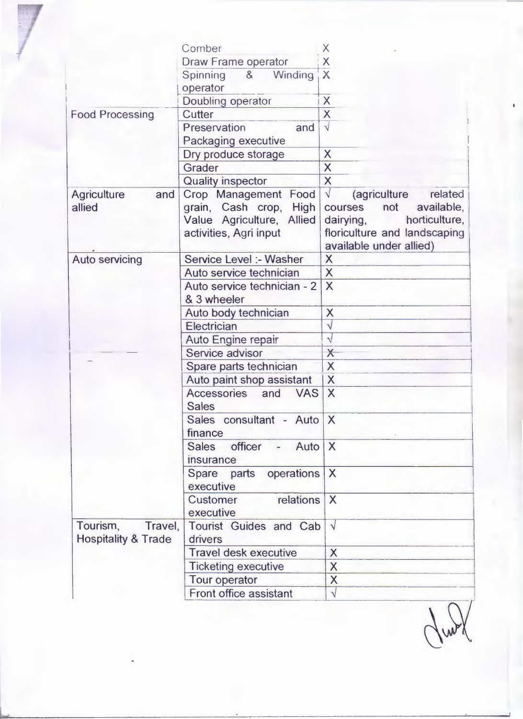|                                | Comber                           | Х                                           |
|--------------------------------|----------------------------------|---------------------------------------------|
|                                | <b>Draw Frame operator</b>       | X                                           |
|                                | Winding<br>8<br>Spinning         | $\overline{\mathsf{X}}$                     |
|                                | operator                         |                                             |
|                                | Doubling operator                | X                                           |
| <b>Food Processing</b>         | Cutter                           | X                                           |
|                                | Preservation<br>and              | $\sqrt{}$                                   |
|                                | Packaging executive              |                                             |
|                                | Dry produce storage              | X                                           |
|                                | Grader                           | $\overline{\mathsf{X}}$                     |
|                                | <b>Quality inspector</b>         | $\overline{\mathsf{X}}$                     |
| <b>Agriculture</b><br>and      | Crop Management Food             | $\sqrt{}$<br>related<br><i>(agriculture</i> |
| allied                         | grain, Cash crop, High           | not<br>available,<br>courses                |
|                                | Value Agriculture, Allied        | dairying,<br>horticulture,                  |
|                                | activities, Agri input           | floriculture and landscaping                |
|                                |                                  | available under allied)                     |
| <b>Auto servicing</b>          | Service Level :- Washer          | X                                           |
|                                | Auto service technician          | X                                           |
|                                | Auto service technician - 2      | $\times$                                    |
|                                | & 3 wheeler                      |                                             |
|                                | Auto body technician             | X                                           |
|                                | Electrician                      | $\sqrt{}$                                   |
|                                | Auto Engine repair               | $\sqrt{}$                                   |
|                                | Service advisor                  | $\times$                                    |
|                                | Spare parts technician           | $\overline{\mathsf{X}}$                     |
|                                | Auto paint shop assistant        | X                                           |
|                                | Accessories<br>and<br><b>VAS</b> | $\times$                                    |
|                                | <b>Sales</b>                     |                                             |
|                                | Sales consultant - Auto X        |                                             |
|                                | finance                          |                                             |
|                                | Sales officer - Auto X           |                                             |
|                                | insurance                        |                                             |
|                                | operations<br>Spare parts        | $\times$                                    |
|                                | executive                        |                                             |
|                                | relations<br>Customer            | $\times$                                    |
|                                | executive                        |                                             |
| Tourism,<br>Travel.            | <b>Tourist Guides and Cab</b>    | $\sqrt{}$                                   |
| <b>Hospitality &amp; Trade</b> | drivers                          |                                             |
|                                | <b>Travel desk executive</b>     | X                                           |
|                                | <b>Ticketing executive</b>       | X                                           |
|                                |                                  |                                             |
|                                | Tour operator                    | $\overline{\mathsf{X}}$                     |

Jung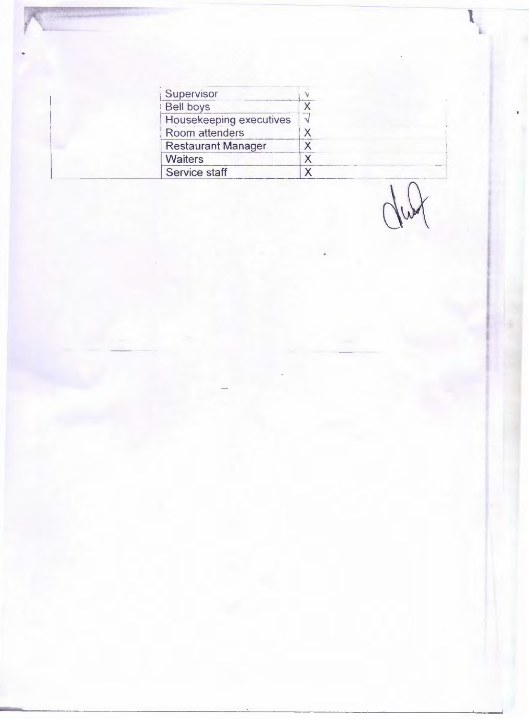| Supervisor                     |           |
|--------------------------------|-----------|
| Bell boys                      | X         |
| <b>Housekeeping executives</b> | $\sqrt{}$ |
| Room attenders                 | X         |
| <b>Restaurant Manager</b>      | Χ         |
| <b>Waiters</b>                 | X         |
| Service staff                  | x         |

dud

I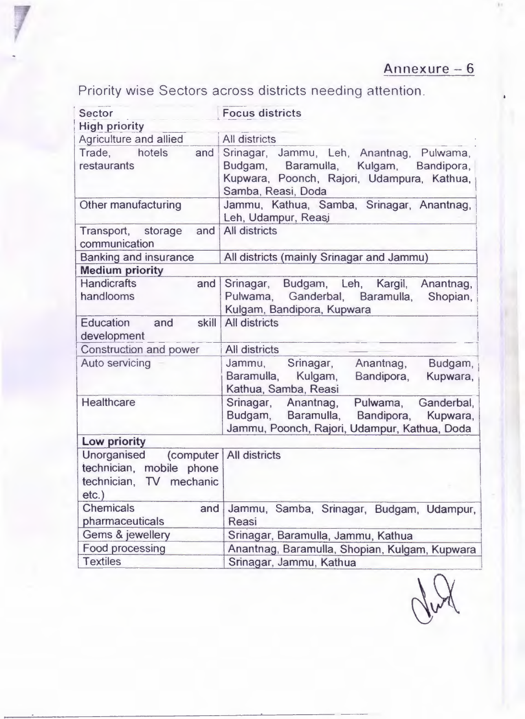Priority wise Sectors across districts needing attention .

| <b>Sector</b>                                                                                          | <b>Focus districts</b>                                                                                                                                         |  |  |
|--------------------------------------------------------------------------------------------------------|----------------------------------------------------------------------------------------------------------------------------------------------------------------|--|--|
| <b>High priority</b>                                                                                   |                                                                                                                                                                |  |  |
| Agriculture and allied                                                                                 | All districts                                                                                                                                                  |  |  |
| Trade. hotels<br>and<br>restaurants                                                                    | Srinagar, Jammu, Leh, Anantnag, Pulwama,<br>Budgam,<br>Baramulla,<br>Kulgam,<br>Bandipora,<br>Kupwara, Poonch, Rajori, Udampura, Kathua,<br>Samba, Reasi, Doda |  |  |
| Other manufacturing                                                                                    | Jammu, Kathua, Samba, Srinagar, Anantnag,<br>Leh, Udampur, Reasj                                                                                               |  |  |
| Transport, storage<br>and<br>communication                                                             | <b>All districts</b>                                                                                                                                           |  |  |
| <b>Banking and insurance</b>                                                                           | All districts (mainly Srinagar and Jammu)                                                                                                                      |  |  |
| <b>Medium priority</b>                                                                                 |                                                                                                                                                                |  |  |
| <b>Handicrafts</b><br>and<br>handlooms                                                                 | Srinagar, Budgam, Leh, Kargil, Anantnag,<br>Pulwama, Ganderbal, Baramulla, Shopian,<br>Kulgam, Bandipora, Kupwara                                              |  |  |
| <b>Education</b><br>skill<br>and<br>development                                                        | <b>All districts</b>                                                                                                                                           |  |  |
| Construction and power                                                                                 | All districts                                                                                                                                                  |  |  |
| <b>Auto servicing</b>                                                                                  | Srinagar,<br>Jammu,<br>Anantnag,<br>Budgam,<br>Baramulla, Kulgam,<br>Bandipora,<br>Kupwara,<br>Kathua, Samba, Reasi                                            |  |  |
| Healthcare                                                                                             | Srinagar, Anantnag,<br>Pulwama, Ganderbal,<br>Budgam, Baramulla,<br>Bandipora, Kupwara,<br>Jammu, Poonch, Rajori, Udampur, Kathua, Doda                        |  |  |
| Low priority                                                                                           |                                                                                                                                                                |  |  |
| Unorganised<br>$\lfloor$ (computer)<br>technician, mobile phone<br>technician, TV mechanic<br>$etc.$ ) | <b>All districts</b>                                                                                                                                           |  |  |
| <b>Chemicals</b><br>and                                                                                | Jammu, Samba, Srinagar, Budgam, Udampur,                                                                                                                       |  |  |
| pharmaceuticals                                                                                        | Reasi                                                                                                                                                          |  |  |
| Gems & jewellery                                                                                       | Srinagar, Baramulla, Jammu, Kathua                                                                                                                             |  |  |
| Food processing                                                                                        | Anantnag, Baramulla, Shopian, Kulgam, Kupwara                                                                                                                  |  |  |
| <b>Textiles</b>                                                                                        | Srinagar, Jammu, Kathua                                                                                                                                        |  |  |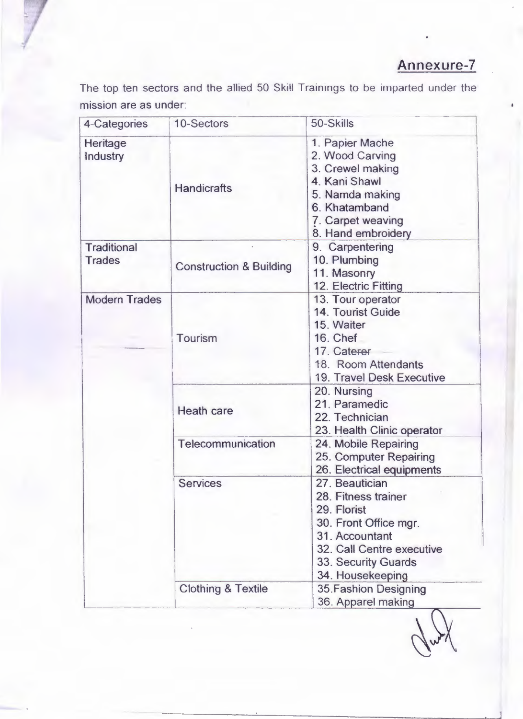#### Annexure-7

The top ten sectors and the allied 50 Skill Trainings to be imparted under the mission are as under:

| 4-Categories                        | 10-Sectors                         | 50-Skills                                                                                                                                                               |
|-------------------------------------|------------------------------------|-------------------------------------------------------------------------------------------------------------------------------------------------------------------------|
| Heritage<br>Industry                | <b>Handicrafts</b>                 | 1. Papier Mache<br>2. Wood Carving<br>3. Crewel making<br>4. Kani Shawl<br>5. Namda making<br>6. Khatamband<br>7. Carpet weaving<br>8. Hand embroidery                  |
| <b>Traditional</b><br><b>Trades</b> | <b>Construction &amp; Building</b> | 9. Carpentering<br>10. Plumbing<br>11. Masonry<br>12. Electric Fitting                                                                                                  |
| <b>Modern Trades</b>                | <b>Tourism</b>                     | 13. Tour operator<br>14. Tourist Guide<br>15. Waiter<br><b>16. Chef</b><br>17. Caterer<br>18. Room Attendants<br><b>19. Travel Desk Executive</b>                       |
|                                     | <b>Heath care</b>                  | 20. Nursing<br>21. Paramedic<br>22. Technician<br>23. Health Clinic operator                                                                                            |
|                                     | Telecommunication                  | 24. Mobile Repairing<br>25. Computer Repairing<br>26. Electrical equipments                                                                                             |
|                                     | <b>Services</b>                    | 27. Beautician<br>28. Fitness trainer<br>29. Florist<br>30. Front Office mgr.<br>31. Accountant<br>32. Call Centre executive<br>33. Security Guards<br>34. Housekeeping |
|                                     | <b>Clothing &amp; Textile</b>      | <b>35. Fashion Designing</b><br>36. Apparel making                                                                                                                      |